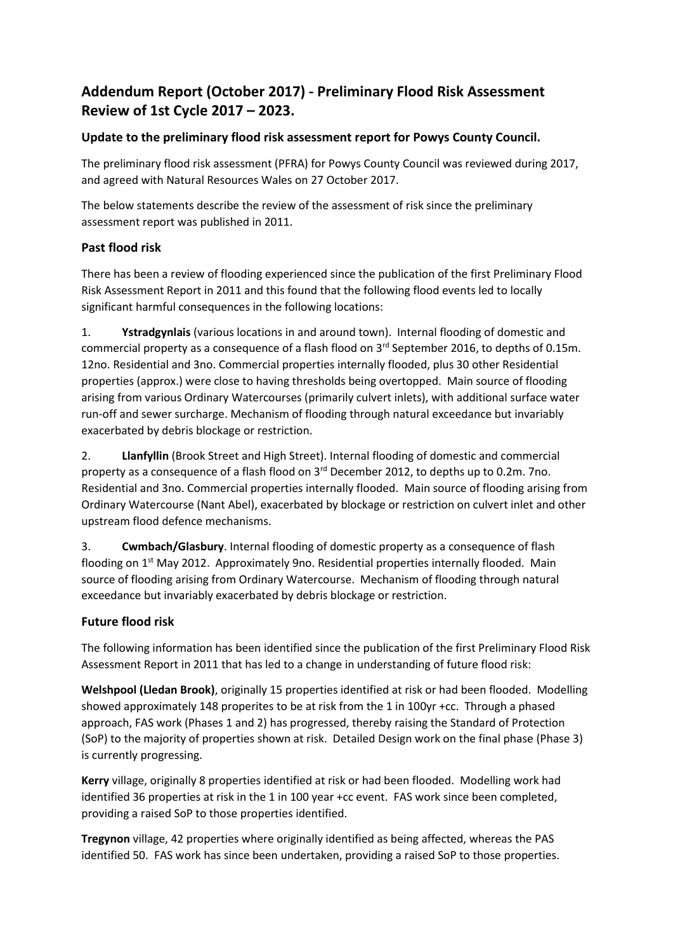# **Addendum Report (October 2017) - Preliminary Flood Risk Assessment Review of 1st Cycle 2017 – 2023.**

## **Update to the preliminary flood risk assessment report for Powys County Council.**

The preliminary flood risk assessment (PFRA) for Powys County Council was reviewed during 2017, and agreed with Natural Resources Wales on 27 October 2017.

The below statements describe the review of the assessment of risk since the preliminary assessment report was published in 2011.

## **Past flood risk**

There has been a review of flooding experienced since the publication of the first Preliminary Flood Risk Assessment Report in 2011 and this found that the following flood events led to locally significant harmful consequences in the following locations:

1. **Ystradgynlais** (various locations in and around town). Internal flooding of domestic and commercial property as a consequence of a flash flood on  $3<sup>rd</sup>$  September 2016, to depths of 0.15m. 12no. Residential and 3no. Commercial properties internally flooded, plus 30 other Residential properties (approx.) were close to having thresholds being overtopped. Main source of flooding arising from various Ordinary Watercourses (primarily culvert inlets), with additional surface water run-off and sewer surcharge. Mechanism of flooding through natural exceedance but invariably exacerbated by debris blockage or restriction.

2. **Llanfyllin** (Brook Street and High Street). Internal flooding of domestic and commercial property as a consequence of a flash flood on 3<sup>rd</sup> December 2012, to depths up to 0.2m. 7no. Residential and 3no. Commercial properties internally flooded. Main source of flooding arising from Ordinary Watercourse (Nant Abel), exacerbated by blockage or restriction on culvert inlet and other upstream flood defence mechanisms.

3. **Cwmbach/Glasbury**. Internal flooding of domestic property as a consequence of flash flooding on 1<sup>st</sup> May 2012. Approximately 9no. Residential properties internally flooded. Main source of flooding arising from Ordinary Watercourse. Mechanism of flooding through natural exceedance but invariably exacerbated by debris blockage or restriction.

## **Future flood risk**

The following information has been identified since the publication of the first Preliminary Flood Risk Assessment Report in 2011 that has led to a change in understanding of future flood risk:

**Welshpool (Lledan Brook)**, originally 15 properties identified at risk or had been flooded. Modelling showed approximately 148 properites to be at risk from the 1 in 100yr +cc. Through a phased approach, FAS work (Phases 1 and 2) has progressed, thereby raising the Standard of Protection (SoP) to the majority of properties shown at risk. Detailed Design work on the final phase (Phase 3) is currently progressing.

**Kerry** village, originally 8 properties identified at risk or had been flooded. Modelling work had identified 36 properties at risk in the 1 in 100 year +cc event. FAS work since been completed, providing a raised SoP to those properties identified.

**Tregynon** village, 42 properties where originally identified as being affected, whereas the PAS identified 50. FAS work has since been undertaken, providing a raised SoP to those properties.